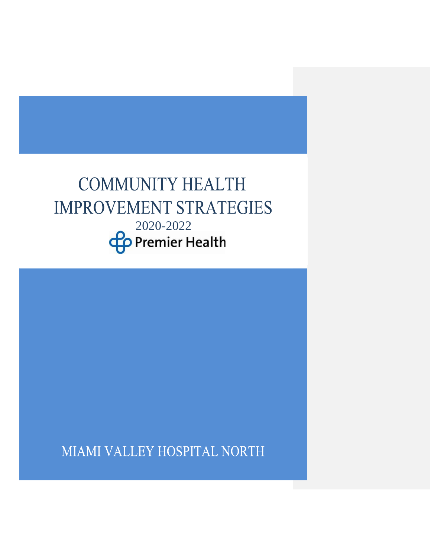# **COMMUNITY HEALTH IMPROVEMENT STRATEGIES**  $2020-2022$ <br>**Premier Health**

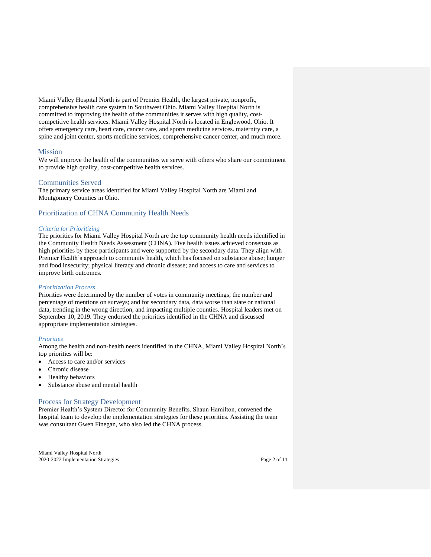Miami Valley Hospital North is part of Premier Health, the largest private, nonprofit, comprehensive health care system in Southwest Ohio. Miami Valley Hospital North is committed to improving the health of the communities it serves with high quality, costcompetitive health services. Miami Valley Hospital North is located in Englewood, Ohio. It offers emergency care, heart care, cancer care, and sports medicine services. maternity care, a spine and joint center, sports medicine services, comprehensive cancer center, and much more.

## Mission

We will improve the health of the communities we serve with others who share our commitment to provide high quality, cost-competitive health services.

## Communities Served

The primary service areas identified for Miami Valley Hospital North are Miami and Montgomery Counties in Ohio.

# Prioritization of CHNA Community Health Needs

## *Criteria for Prioritizing*

The priorities for Miami Valley Hospital North are the top community health needs identified in the Community Health Needs Assessment (CHNA). Five health issues achieved consensus as high priorities by these participants and were supported by the secondary data. They align with Premier Health's approach to community health, which has focused on substance abuse; hunger and food insecurity; physical literacy and chronic disease; and access to care and services to improve birth outcomes.

#### *Prioritization Process*

Priorities were determined by the number of votes in community meetings; the number and percentage of mentions on surveys; and for secondary data, data worse than state or national data, trending in the wrong direction, and impacting multiple counties. Hospital leaders met on September 10, 2019. They endorsed the priorities identified in the CHNA and discussed appropriate implementation strategies.

#### *Priorities*

Among the health and non-health needs identified in the CHNA, Miami Valley Hospital North's top priorities will be:

- Access to care and/or services
- Chronic disease
- Healthy behaviors
- Substance abuse and mental health

# Process for Strategy Development

Premier Health's System Director for Community Benefits, Shaun Hamilton, convened the hospital team to develop the implementation strategies for these priorities. Assisting the team was consultant Gwen Finegan, who also led the CHNA process.

Miami Valley Hospital North 2020-2022 Implementation Strategies Page 2 of 11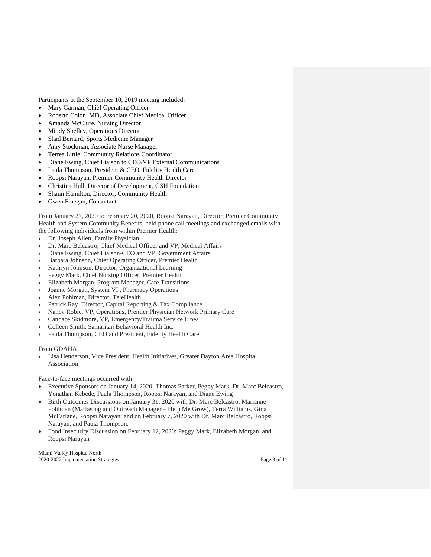Participants at the September 10, 2019 meeting included:

- Mary Garman, Chief Operating Officer
- Roberto Colon, MD, Associate Chief Medical Officer
- Amanda McClure, Nursing Director
- Mindy Shelley, Operations Director
- Shad Bernard, Sports Medicine Manager
- Amy Stockman, Associate Nurse Manager
- Terrea Little, Community Relations Coordinator
- Diane Ewing, Chief Liaison to CEO/VP External Communications
- Paula Thompson, President & CEO, Fidelity Health Care
- Roopsi Narayan, Premier Community Health Director
- Christina Hull, Director of Development, GSH Foundation
- Shaun Hamilton, Director, Community Health
- Gwen Finegan, Consultant

From January 27, 2020 to February 20, 2020, Roopsi Narayan, Director, Premier Community Health and System Community Benefits, held phone call meetings and exchanged emails with the following individuals from within Premier Health:

- Dr. Joseph Allen, Family Physician
- Dr. Marc Belcastro, Chief Medical Officer and VP, Medical Affairs
- Diane Ewing, Chief Liaison-CEO and VP, Government Affairs
- Barbara Johnson, Chief Operating Officer, Premier Health
- Kathryn Johnson, Director, Organizational Learning
- Peggy Mark, Chief Nursing Officer, Premier Health
- Elizabeth Morgan, Program Manager, Care Transitions
- Joanne Morgan, System VP, Pharmacy Operations
- Alex Pohlman, Director, TeleHealth
- Patrick Ray, Director, Capital Reporting & Tax Compliance
- Nancy Robie, VP, Operations, Premier Physician Network Primary Care
- Candace Skidmore, VP, Emergency/Trauma Service Lines
- Colleen Smith, Samaritan Behavioral Health Inc.
- Paula Thompson, CEO and President, Fidelity Health Care

From GDAHA

• Lisa Henderson, Vice President, Health Initiatives, Greater Dayton Area Hospital Association

Face-to-face meetings occurred with:

- Executive Sponsors on January 14, 2020: Thomas Parker, Peggy Mark, Dr. Marc Belcastro, Yonathan Kebede, Paula Thompson, Roopsi Narayan, and Diane Ewing
- Birth Outcomes Discussions on January 31, 2020 with Dr. Marc Belcastro, Marianne Pohlman (Marketing and Outreach Manager – Help Me Grow), Terra Williams, Gina McFarlane, Roopsi Narayan; and on February 7, 2020 with Dr. Marc Belcastro, Roopsi Narayan, and Paula Thompson.
- Food Insecurity Discussion on February 12, 2020: Peggy Mark, Elizabeth Morgan, and Roopsi Narayan

Miami Valley Hospital North 2020-2022 Implementation Strategies Page 3 of 11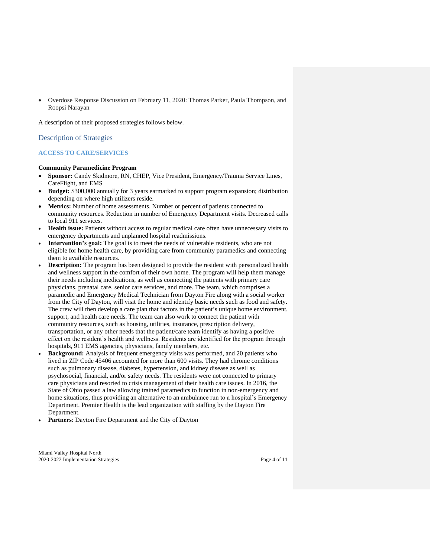• Overdose Response Discussion on February 11, 2020: Thomas Parker, Paula Thompson, and Roopsi Narayan

A description of their proposed strategies follows below.

Description of Strategies

## **ACCESS TO CARE/SERVICES**

#### **Community Paramedicine Program**

- **Sponsor:** Candy Skidmore, RN, CHEP, Vice President, Emergency/Trauma Service Lines, CareFlight, and EMS
- **Budget:** \$300,000 annually for 3 years earmarked to support program expansion; distribution depending on where high utilizers reside.
- **Metrics:** Number of home assessments. Number or percent of patients connected to community resources. Reduction in number of Emergency Department visits. Decreased calls to local 911 services.
- **Health issue:** Patients without access to regular medical care often have unnecessary visits to emergency departments and unplanned hospital readmissions.
- Intervention's goal: The goal is to meet the needs of vulnerable residents, who are not eligible for home health care, by providing care from community paramedics and connecting them to available resources.
- **Description:** The program has been designed to provide the resident with personalized health and wellness support in the comfort of their own home. The program will help them manage their needs including medications, as well as connecting the patients with primary care physicians, prenatal care, senior care services, and more. The team, which comprises a paramedic and Emergency Medical Technician from Dayton Fire along with a social worker from the City of Dayton, will visit the home and identify basic needs such as food and safety. The crew will then develop a care plan that factors in the patient's unique home environment, support, and health care needs. The team can also work to connect the patient with community resources, such as housing, utilities, insurance, prescription delivery, transportation, or any other needs that the patient/care team identify as having a positive effect on the resident's health and wellness. Residents are identified for the program through hospitals, 911 EMS agencies, physicians, family members, etc.
- **Background:** Analysis of frequent emergency visits was performed, and 20 patients who lived in ZIP Code 45406 accounted for more than 600 visits. They had chronic conditions such as pulmonary disease, diabetes, hypertension, and kidney disease as well as psychosocial, financial, and/or safety needs. The residents were not connected to primary care physicians and resorted to crisis management of their health care issues. In 2016, the State of Ohio passed a law allowing trained paramedics to function in non-emergency and home situations, thus providing an alternative to an ambulance run to a hospital's Emergency Department. Premier Health is the lead organization with staffing by the Dayton Fire Department.
- **Partners**: Dayton Fire Department and the City of Dayton

Miami Valley Hospital North 2020-2022 Implementation Strategies Page 4 of 11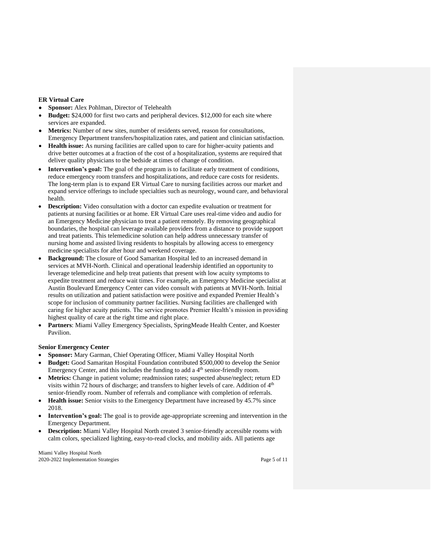## **ER Virtual Care**

- **Sponsor:** Alex Pohlman, Director of Telehealth
- **Budget:** \$24,000 for first two carts and peripheral devices. \$12,000 for each site where services are expanded.
- **Metrics:** Number of new sites, number of residents served, reason for consultations, Emergency Department transfers/hospitalization rates, and patient and clinician satisfaction.
- **Health issue:** As nursing facilities are called upon to care for higher-acuity patients and drive better outcomes at a fraction of the cost of a hospitalization, systems are required that deliver quality physicians to the bedside at times of change of condition.
- **Intervention's goal:** The goal of the program is to facilitate early treatment of conditions, reduce emergency room transfers and hospitalizations, and reduce care costs for residents. The long-term plan is to expand ER Virtual Care to nursing facilities across our market and expand service offerings to include specialties such as neurology, wound care, and behavioral health.
- **Description:** Video consultation with a doctor can expedite evaluation or treatment for patients at nursing facilities or at home. ER Virtual Care uses real-time video and audio for an Emergency Medicine physician to treat a patient remotely. By removing geographical boundaries, the hospital can leverage available providers from a distance to provide support and treat patients. This telemedicine solution can help address unnecessary transfer of nursing home and assisted living residents to hospitals by allowing access to emergency medicine specialists for after hour and weekend coverage.
- **Background:** The closure of Good Samaritan Hospital led to an increased demand in services at MVH-North. Clinical and operational leadership identified an opportunity to leverage telemedicine and help treat patients that present with low acuity symptoms to expedite treatment and reduce wait times. For example, an Emergency Medicine specialist at Austin Boulevard Emergency Center can video consult with patients at MVH-North. Initial results on utilization and patient satisfaction were positive and expanded Premier Health's scope for inclusion of community partner facilities. Nursing facilities are challenged with caring for higher acuity patients. The service promotes Premier Health's mission in providing highest quality of care at the right time and right place.
- **Partners**: Miami Valley Emergency Specialists, SpringMeade Health Center, and Koester Pavilion.

## **Senior Emergency Center**

- **Sponsor:** Mary Garman, Chief Operating Officer, Miami Valley Hospital North
- **Budget:** Good Samaritan Hospital Foundation contributed \$500,000 to develop the Senior Emergency Center, and this includes the funding to add a  $4<sup>th</sup>$  senior-friendly room.
- **Metrics:** Change in patient volume; readmission rates; suspected abuse/neglect; return ED visits within 72 hours of discharge; and transfers to higher levels of care. Addition of  $4<sup>th</sup>$ senior-friendly room. Number of referrals and compliance with completion of referrals.
- **Health issue:** Senior visits to the Emergency Department have increased by 45.7% since 2018.
- **Intervention's goal:** The goal is to provide age-appropriate screening and intervention in the Emergency Department.
- **Description:** Miami Valley Hospital North created 3 senior-friendly accessible rooms with calm colors, specialized lighting, easy-to-read clocks, and mobility aids. All patients age

Miami Valley Hospital North 2020-2022 Implementation Strategies Page 5 of 11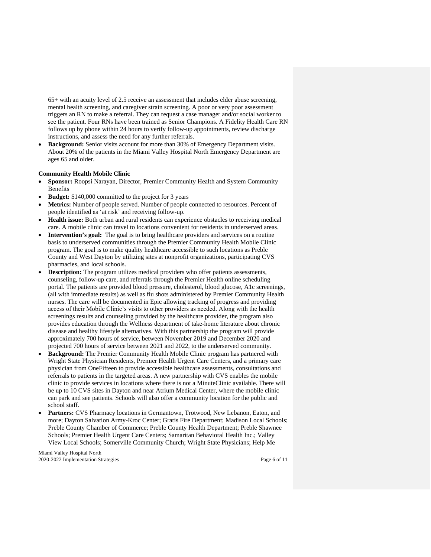65+ with an acuity level of 2.5 receive an assessment that includes elder abuse screening, mental health screening, and caregiver strain screening. A poor or very poor assessment triggers an RN to make a referral. They can request a case manager and/or social worker to see the patient. Four RNs have been trained as Senior Champions. A Fidelity Health Care RN follows up by phone within 24 hours to verify follow-up appointments, review discharge instructions, and assess the need for any further referrals.

**Background:** Senior visits account for more than 30% of Emergency Department visits. About 20% of the patients in the Miami Valley Hospital North Emergency Department are ages 65 and older.

#### **Community Health Mobile Clinic**

- **Sponsor:** Roopsi Narayan, Director, Premier Community Health and System Community Benefits
- **Budget:** \$140,000 committed to the project for 3 years
- **Metrics:** Number of people served. Number of people connected to resources. Percent of people identified as 'at risk' and receiving follow-up.
- **Health issue:** Both urban and rural residents can experience obstacles to receiving medical care. A mobile clinic can travel to locations convenient for residents in underserved areas.
- **Intervention's goal:** The goal is to bring healthcare providers and services on a routine basis to underserved communities through the Premier Community Health Mobile Clinic program. The goal is to make quality healthcare accessible to such locations as Preble County and West Dayton by utilizing sites at nonprofit organizations, participating CVS pharmacies, and local schools.
- **Description:** The program utilizes medical providers who offer patients assessments, counseling, follow-up care, and referrals through the Premier Health online scheduling portal. The patients are provided blood pressure, cholesterol, blood glucose, A1c screenings, (all with immediate results) as well as flu shots administered by Premier Community Health nurses. The care will be documented in Epic allowing tracking of progress and providing access of their Mobile Clinic's visits to other providers as needed. Along with the health screenings results and counseling provided by the healthcare provider, the program also provides education through the Wellness department of take-home literature about chronic disease and healthy lifestyle alternatives. With this partnership the program will provide approximately 700 hours of service, between November 2019 and December 2020 and projected 700 hours of service between 2021 and 2022, to the underserved community.
- **Background:** The Premier Community Health Mobile Clinic program has partnered with Wright State Physician Residents, Premier Health Urgent Care Centers, and a primary care physician from OneFifteen to provide accessible healthcare assessments, consultations and referrals to patients in the targeted areas. A new partnership with CVS enables the mobile clinic to provide services in locations where there is not a MinuteClinic available. There will be up to 10 CVS sites in Dayton and near Atrium Medical Center, where the mobile clinic can park and see patients. Schools will also offer a community location for the public and school staff.
- **Partners:** CVS Pharmacy locations in Germantown, Trotwood, New Lebanon, Eaton, and more; Dayton Salvation Army-Kroc Center; Gratis Fire Department; Madison Local Schools; Preble County Chamber of Commerce; Preble County Health Department; Preble Shawnee Schools; Premier Health Urgent Care Centers; Samaritan Behavioral Health Inc.; Valley View Local Schools; Somerville Community Church; Wright State Physicians; Help Me

Miami Valley Hospital North 2020-2022 Implementation Strategies Page 6 of 11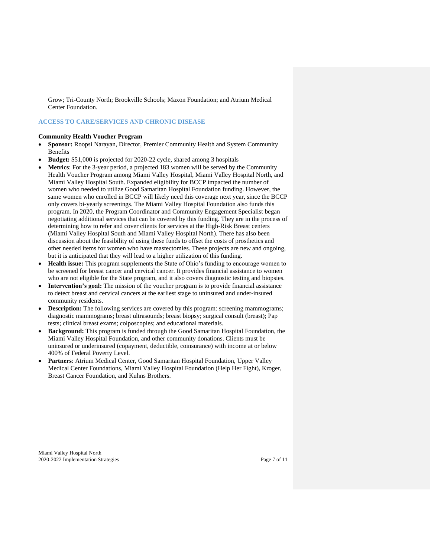Grow; Tri-County North; Brookville Schools; Maxon Foundation; and Atrium Medical Center Foundation.

# **ACCESS TO CARE/SERVICES AND CHRONIC DISEASE**

#### **Community Health Voucher Program**

- **Sponsor:** Roopsi Narayan, Director, Premier Community Health and System Community Benefits
- **Budget:** \$51,000 is projected for 2020-22 cycle, shared among 3 hospitals
- **Metrics**: For the 3-year period, a projected 183 women will be served by the Community Health Voucher Program among Miami Valley Hospital, Miami Valley Hospital North, and Miami Valley Hospital South. Expanded eligibility for BCCP impacted the number of women who needed to utilize Good Samaritan Hospital Foundation funding. However, the same women who enrolled in BCCP will likely need this coverage next year, since the BCCP only covers bi-yearly screenings. The Miami Valley Hospital Foundation also funds this program. In 2020, the Program Coordinator and Community Engagement Specialist began negotiating additional services that can be covered by this funding. They are in the process of determining how to refer and cover clients for services at the High-Risk Breast centers (Miami Valley Hospital South and Miami Valley Hospital North). There has also been discussion about the feasibility of using these funds to offset the costs of prosthetics and other needed items for women who have mastectomies. These projects are new and ongoing, but it is anticipated that they will lead to a higher utilization of this funding.
- **Health issue:** This program supplements the State of Ohio's funding to encourage women to be screened for breast cancer and cervical cancer. It provides financial assistance to women who are not eligible for the State program, and it also covers diagnostic testing and biopsies.
- **Intervention's goal:** The mission of the voucher program is to provide financial assistance to detect breast and cervical cancers at the earliest stage to uninsured and under-insured community residents.
- **Description:** The following services are covered by this program: screening mammograms; diagnostic mammograms; breast ultrasounds; breast biopsy; surgical consult (breast); Pap tests; clinical breast exams; colposcopies; and educational materials.
- **Background:** This program is funded through the Good Samaritan Hospital Foundation, the Miami Valley Hospital Foundation, and other community donations. Clients must be uninsured or underinsured (copayment, deductible, coinsurance) with income at or below 400% of Federal Poverty Level.
- **Partners**: Atrium Medical Center, Good Samaritan Hospital Foundation, Upper Valley Medical Center Foundations, Miami Valley Hospital Foundation (Help Her Fight), Kroger, Breast Cancer Foundation, and Kuhns Brothers.

Miami Valley Hospital North 2020-2022 Implementation Strategies Page 7 of 11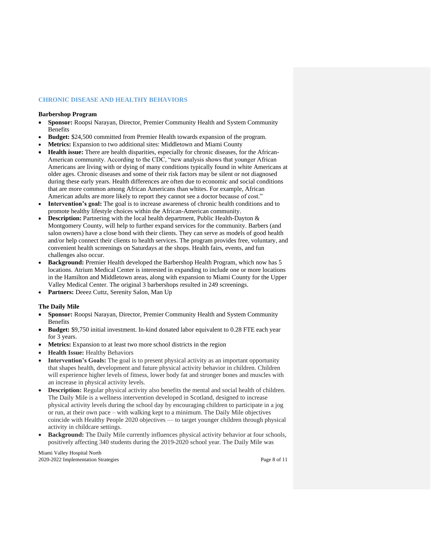## **CHRONIC DISEASE AND HEALTHY BEHAVIORS**

#### **Barbershop Program**

- **Sponsor:** Roopsi Narayan, Director, Premier Community Health and System Community Benefits
- **Budget:** \$24,500 committed from Premier Health towards expansion of the program.
- **Metrics:** Expansion to two additional sites: Middletown and Miami County
- **Health issue:** There are health disparities, especially for chronic diseases, for the African-American community. According to the CDC, "new analysis shows that younger African Americans are living with or dying of many conditions typically found in white Americans at older ages. Chronic diseases and some of their risk factors may be silent or not diagnosed during these early years. Health differences are often due to economic and social conditions that are more common among African Americans than whites. For example, African American adults are more likely to report they cannot see a doctor because of cost."
- **Intervention's goal:** The goal is to increase awareness of chronic health conditions and to promote healthy lifestyle choices within the African-American community.
- **Description:** Partnering with the local health department, Public Health-Dayton & Montgomery County, will help to further expand services for the community. Barbers (and salon owners) have a close bond with their clients. They can serve as models of good health and/or help connect their clients to health services. The program provides free, voluntary, and convenient health screenings on Saturdays at the shops. Health fairs, events, and fun challenges also occur.
- **Background:** Premier Health developed the Barbershop Health Program, which now has 5 locations. Atrium Medical Center is interested in expanding to include one or more locations in the Hamilton and Middletown areas, along with expansion to Miami County for the Upper Valley Medical Center. The original 3 barbershops resulted in 249 screenings.
- **Partners:** Deeez Cuttz, Serenity Salon, Man Up

## **The Daily Mile**

- **Sponsor:** Roopsi Narayan, Director, Premier Community Health and System Community Benefits
- **Budget:** \$9,750 initial investment. In-kind donated labor equivalent to 0.28 FTE each year for 3 years.
- Metrics: Expansion to at least two more school districts in the region
- **Health Issue:** Healthy Behaviors
- **Intervention's Goals:** The goal is to present physical activity as an important opportunity that shapes health, development and future physical activity behavior in children. Children will experience higher levels of fitness, lower body fat and stronger bones and muscles with an increase in physical activity levels.
- **Description:** Regular physical activity also benefits the mental and social health of children. The Daily Mile is a wellness intervention developed in Scotland, designed to increase physical activity levels during the school day by encouraging children to participate in a jog or run, at their own pace – with walking kept to a minimum. The Daily Mile objectives coincide with Healthy People 2020 objectives — to target younger children through physical activity in childcare settings.
- **Background:** The Daily Mile currently influences physical activity behavior at four schools, positively affecting 340 students during the 2019-2020 school year. The Daily Mile was

Miami Valley Hospital North 2020-2022 Implementation Strategies Page 8 of 11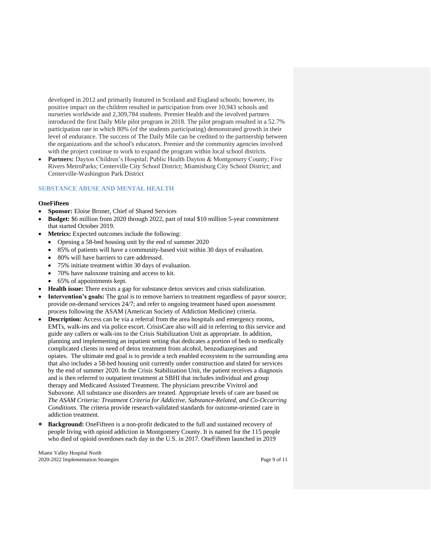developed in 2012 and primarily featured in Scotland and England schools; however, its positive impact on the children resulted in participation from over 10,943 schools and nurseries worldwide and 2,309,784 students. Premier Health and the involved partners introduced the first Daily Mile pilot program in 2018. The pilot program resulted in a 52.7% participation rate in which 80% (of the students participating) demonstrated growth in their level of endurance. The success of The Daily Mile can be credited to the partnership between the organizations and the school's educators. Premier and the community agencies involved with the project continue to work to expand the program within local school districts.

Partners: Dayton Children's Hospital; Public Health Dayton & Montgomery County; Five Rivers MetroParks; Centerville City School District; Miamisburg City School District; and Centerville-Washington Park District

## **SUBSTANCE ABUSE AND MENTAL HEALTH**

#### **OneFifteen**

- **Sponsor:** Eloise Broner, Chief of Shared Services
- **Budget:** \$6 million from 2020 through 2022, part of total \$10 million 5-year commitment that started October 2019.
- **Metrics:** Expected outcomes include the following:
	- Opening a 58-bed housing unit by the end of summer 2020
	- 85% of patients will have a community-based visit within 30 days of evaluation.
	- 80% will have barriers to care addressed.
	- 75% initiate treatment within 30 days of evaluation.
	- 70% have naloxone training and access to kit.
	- 65% of appointments kept.
- **Health issue:** There exists a gap for substance detox services and crisis stabilization.
- **Intervention's goals:** The goal is to remove barriers to treatment regardless of payor source; provide on-demand services 24/7; and refer to ongoing treatment based upon assessment process following the ASAM (American Society of Addiction Medicine) criteria.
- **Description:** Access can be via a referral from the area hospitals and emergency rooms, EMTs, walk-ins and via police escort. CrisisCare also will aid in referring to this service and guide any callers or walk-ins to the Crisis Stabilization Unit as appropriate. In addition, planning and implementing an inpatient setting that dedicates a portion of beds to medically complicated clients in need of detox treatment from alcohol, benzodiazepines and opiates. The ultimate end goal is to provide a tech enabled ecosystem to the surrounding area that also includes a 58-bed housing unit currently under construction and slated for services by the end of summer 2020. In the Crisis Stabilization Unit, the patient receives a diagnosis and is then referred to outpatient treatment at SBHI that includes individual and group therapy and Medicated Assisted Treatment. The physicians prescribe Vivitrol and Suboxone. All substance use disorders are treated. Appropriate levels of care are based on *The ASAM Criteria: Treatment Criteria for Addictive, Substance-Related, and Co-Occurring Conditions*. The criteria provide research-validated standards for outcome-oriented care in addiction treatment.
- **Background:** OneFifteen is a non-profit dedicated to the full and sustained recovery of people living with opioid addiction in Montgomery County. It is named for the 115 people who died of opioid overdoses each day in the U.S. in 2017. OneFifteen launched in 2019

Miami Valley Hospital North 2020-2022 Implementation Strategies Page 9 of 11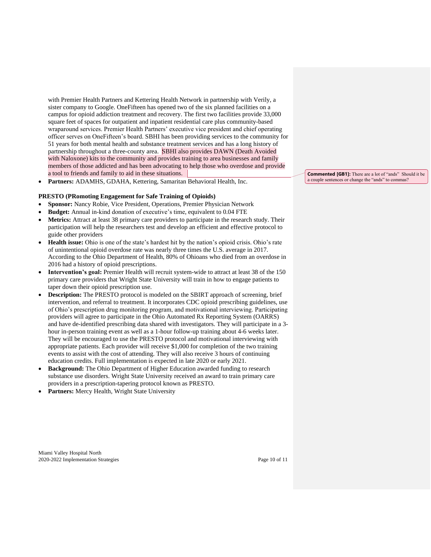with Premier Health Partners and Kettering Health Network in partnership with Verily, a sister company to Google. OneFifteen has [opened](https://www.prnewswire.com/news-releases/onefifteen-opens-the-first-of-its-state-of-the-art-facilities-for-the-treatment-of-opioid-use-disorder-in-dayton-ohio-300867527.html) two of the six planned facilities on a campus for opioid addiction treatment and recovery. The first two facilities provide 33,000 square feet of spaces for outpatient and inpatient residential care plus community-based wraparound services. Premier Health Partners' executive vice president and chief operating officer serves on OneFifteen's board. SBHI has been providing services to the community for 51 years for both mental health and substance treatment services and has a long history of partnership throughout a three-county area. SBHI also provides DAWN (Death Avoided with Naloxone) kits to the community and provides training to area businesses and family members of those addicted and has been advocating to help those who overdose and provide a tool to friends and family to aid in these situations.

• **Partners:** ADAMHS, GDAHA, Kettering, Samaritan Behavioral Health, Inc.

## **PRESTO (PRomoting Engagement for Safe Training of Opioids)**

- **Sponsor:** Nancy Robie, Vice President, Operations, Premier Physician Network
- **Budget:** Annual in-kind donation of executive's time, equivalent to 0.04 FTE
- **Metrics:** Attract at least 38 primary care providers to participate in the research study. Their participation will help the researchers test and develop an efficient and effective protocol to guide other providers
- **Health issue:** Ohio is one of the state's hardest hit by the nation's opioid crisis. Ohio's rate of unintentional opioid overdose rate was nearly three times the U.S. average in 2017. According to the Ohio Department of Health, 80% of Ohioans who died from an overdose in 2016 had a history of opioid prescriptions.
- **Intervention's goal:** Premier Health will recruit system-wide to attract at least 38 of the 150 primary care providers that Wright State University will train in how to engage patients to taper down their opioid prescription use.
- **Description:** The PRESTO protocol is modeled on the SBIRT approach of screening, brief intervention, and referral to treatment. It incorporates CDC opioid prescribing guidelines, use of Ohio's prescription drug monitoring program, and motivational interviewing. Participating providers will agree to participate in the Ohio Automated Rx Reporting System (OARRS) and have de-identified prescribing data shared with investigators. They will participate in a 3 hour in-person training event as well as a 1-hour follow-up training about 4-6 weeks later. They will be encouraged to use the PRESTO protocol and motivational interviewing with appropriate patients. Each provider will receive \$1,000 for completion of the two training events to assist with the cost of attending. They will also receive 3 hours of continuing education credits. Full implementation is expected in late 2020 or early 2021.
- **Background:** The Ohio Department of Higher Education awarded funding to research substance use disorders. Wright State University received an award to train primary care providers in a prescription-tapering protocol known as PRESTO.
- Partners: Mercy Health, Wright State University

**Commented [GB1]:** There are a lot of "ands" Should it be a couple sentences or change the "ands" to commas?

Miami Valley Hospital North 2020-2022 Implementation Strategies Page 10 of 11